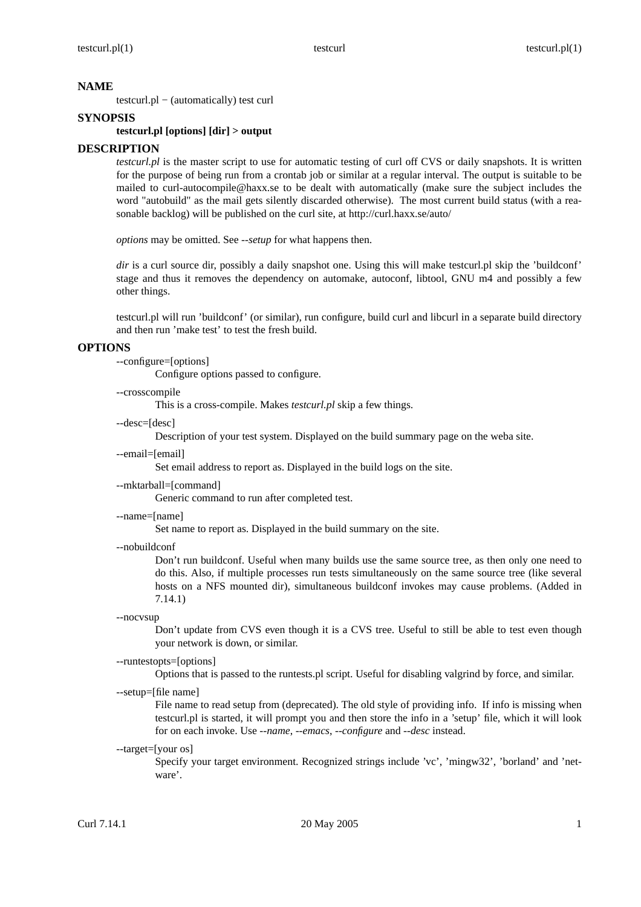## **NAME**

testcurl.pl − (automatically) test curl

### **SYNOPSIS**

#### **testcurl.pl [options] [dir] > output**

### **DESCRIPTION**

*testcurl.pl* is the master script to use for automatic testing of curl off CVS or daily snapshots. It is written for the purpose of being run from a crontab job or similar at a regular interval. The output is suitable to be mailed to curl-autocompile@haxx.se to be dealt with automatically (make sure the subject includes the word "autobuild" as the mail gets silently discarded otherwise). The most current build status (with a reasonable backlog) will be published on the curl site, at http://curl.haxx.se/auto/

*options* may be omitted. See *--setup* for what happens then.

*dir* is a curl source dir, possibly a daily snapshot one. Using this will make testcurl.pl skip the 'buildconf' stage and thus it removes the dependency on automake, autoconf, libtool, GNU m4 and possibly a few other things.

testcurl.pl will run 'buildconf' (or similar), run configure, build curl and libcurl in a separate build directory and then run 'make test' to test the fresh build.

#### **OPTIONS**

--configure=[options]

Configure options passed to configure.

--crosscompile

This is a cross-compile. Makes *testcurl.pl* skip a few things.

--desc=[desc]

Description of your test system. Displayed on the build summary page on the weba site.

--email=[email]

Set email address to report as. Displayed in the build logs on the site.

--mktarball=[command]

Generic command to run after completed test.

--name=[name]

Set name to report as. Displayed in the build summary on the site.

--nobuildconf

Don't run buildconf. Useful when many builds use the same source tree, as then only one need to do this. Also, if multiple processes run tests simultaneously on the same source tree (like several hosts on a NFS mounted dir), simultaneous buildconf invokes may cause problems. (Added in 7.14.1)

--nocvsup

Don't update from CVS even though it is a CVS tree. Useful to still be able to test even though your network is down, or similar.

--runtestopts=[options]

Options that is passed to the runtests.pl script. Useful for disabling valgrind by force, and similar.

--setup=[file name]

File name to read setup from (deprecated). The old style of providing info. If info is missing when testcurl.pl is started, it will prompt you and then store the info in a 'setup' file, which it will look for on each invoke. Use *--name*, *--emacs*, *--configure* and *--desc* instead.

--target=[your os]

Specify your target environment. Recognized strings include 'vc', 'mingw32', 'borland' and 'netware'.